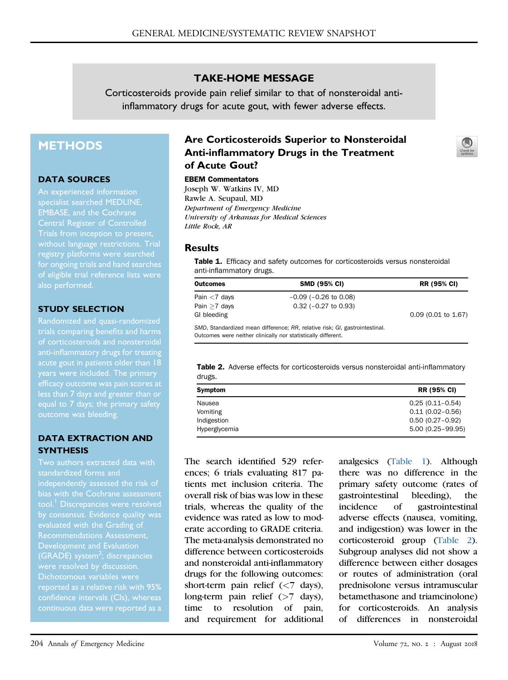### TAKE-HOME MESSAGE

Corticosteroids provide pain relief similar to that of nonsteroidal antiinflammatory drugs for acute gout, with fewer adverse effects.

# **METHODS**

#### DATA SOURCES

An experienced information specialist searched MEDLINE, EMBASE, and the Cochrane Central Register of Controlled Trials from inception to present, without language restrictions. Trial registry platforms were searched for ongoing trials and hand searches of eligible trial reference lists were also performed.

#### STUDY SELECTION

Randomized and quasi-randomized trials comparing benefits and harms of corticosteroids and nonsteroidal anti-inflammatory drugs for treating less than 7 days and greater than or outcome was bleeding.

### DATA EXTRACTION AND **SYNTHESIS**

Two authors extracted data with bias with the Cochrane assessment by consensus. Evidence quality was evaluated with the Grading of (GRADE) system<sup>[2](#page-1-1)</sup>; discrepancies Dichotomous variables were reported as a relative risk with 95% confidence intervals (CIs), whereas

### Are Corticosteroids Superior to Nonsteroidal Anti-inflammatory Drugs in the Treatment of Acute Gout?

#### EBEM Commentators

Joseph W. Watkins IV, MD Rawle A. Seupaul, MD Department of Emergency Medicine University of Arkansas for Medical Sciences Little Rock, AR

#### **Results**

Table 1. Efficacy and safety outcomes for corticosteroids versus nonsteroidal anti-inflammatory drugs.

| <b>Outcomes</b> | <b>SMD (95% CI)</b>                                                     | <b>RR (95% CI)</b>    |
|-----------------|-------------------------------------------------------------------------|-----------------------|
| Pain $<$ 7 days | $-0.09$ ( $-0.26$ to 0.08)                                              |                       |
| Pain $>7$ days  | $0.32$ ( $-0.27$ to $0.93$ )                                            |                       |
| GI bleeding     |                                                                         | $0.09$ (0.01 to 1.67) |
|                 | CMD Standardized mean difference: BB relative rick: CL gastrointestinal |                       |

SMD, Standardized mean difference; RR, relative risk; GI, gastrointestinal. Outcomes were neither clinically nor statistically different.

Table 2. Adverse effects for corticosteroids versus nonsteroidal anti-inflammatory drugs.

| Symptom       | <b>RR (95% CI)</b>   |
|---------------|----------------------|
| Nausea        | $0.25(0.11 - 0.54)$  |
| Vomiting      | $0.11(0.02 - 0.56)$  |
| Indigestion   | $0.50(0.27 - 0.92)$  |
| Hyperglycemia | $5.00(0.25 - 99.95)$ |

The search identified 529 references; 6 trials evaluating 817 patients met inclusion criteria. The overall risk of bias was low in these trials, whereas the quality of the evidence was rated as low to moderate according to GRADE criteria. The meta-analysis demonstrated no difference between corticosteroids and nonsteroidal anti-inflammatory drugs for the following outcomes: short-term pain relief (<7 days), long-term pain relief  $($ >7 days), time to resolution of pain, and requirement for additional analgesics (Table 1). Although there was no difference in the primary safety outcome (rates of gastrointestinal bleeding), the incidence of gastrointestinal adverse effects (nausea, vomiting, and indigestion) was lower in the corticosteroid group (Table 2). Subgroup analyses did not show a difference between either dosages or routes of administration (oral prednisolone versus intramuscular betamethasone and triamcinolone) for corticosteroids. An analysis of differences in nonsteroidal